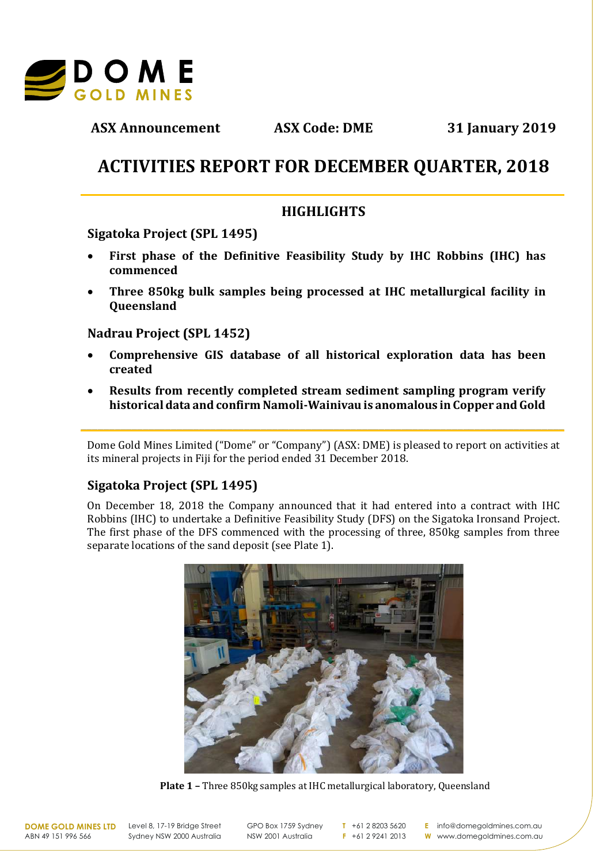

**ASX Announcement ASX Code: DME 31 January 2019**

# **ACTIVITIES REPORT FOR DECEMBER QUARTER, 2018**

**\_\_\_\_\_\_\_\_\_\_\_\_\_\_\_\_\_\_\_\_\_\_\_\_\_\_\_\_\_\_\_\_\_\_\_\_\_\_\_\_\_\_\_\_\_\_\_\_\_\_\_\_\_\_\_\_\_\_\_\_\_\_\_\_\_\_\_\_\_\_\_\_\_\_\_\_\_\_\_\_\_\_\_\_\_\_**

## **HIGHLIGHTS**

**Sigatoka Project (SPL 1495)**

- First phase of the Definitive Feasibility Study by IHC Robbins (IHC) has **commenced**
- Three 850kg bulk samples being processed at IHC metallurgical facility in **Queensland**

**Nadrau Project (SPL 1452)** 

- **Comprehensive GIS database of all historical exploration data has been created**
- **Results from recently completed stream sediment sampling program verify** historical data and confirm Namoli-Wainivau is anomalous in Copper and Gold

Dome Gold Mines Limited ("Dome" or "Company") (ASX: DME) is pleased to report on activities at its mineral projects in Fiji for the period ended 31 December 2018.

**\_\_\_\_\_\_\_\_\_\_\_\_\_\_\_\_\_\_\_\_\_\_\_\_\_\_\_\_\_\_\_\_\_\_\_\_\_\_\_\_\_\_\_\_\_\_\_\_\_\_\_\_\_\_\_\_\_\_\_\_\_\_\_\_\_\_\_\_\_\_\_\_\_\_\_\_\_\_\_\_\_\_\_\_\_\_**

## **Sigatoka Project (SPL 1495)**

On December 18, 2018 the Company announced that it had entered into a contract with IHC Robbins (IHC) to undertake a Definitive Feasibility Study (DFS) on the Sigatoka Ironsand Project. The first phase of the DFS commenced with the processing of three, 850kg samples from three separate locations of the sand deposit (see Plate 1).



**Plate 1 - Three 850kg samples at IHC metallurgical laboratory, Queensland** 

ABN 49 151 996 566

**DOME GOLD MINES LTD** Level 8, 17-19 Bridge Street Sydney NSW 2000 Australia GPO Box 1759 Sydney NSW 2001 Australia

**T** +61 2 8203 5620 **F** +61 2 9241 2013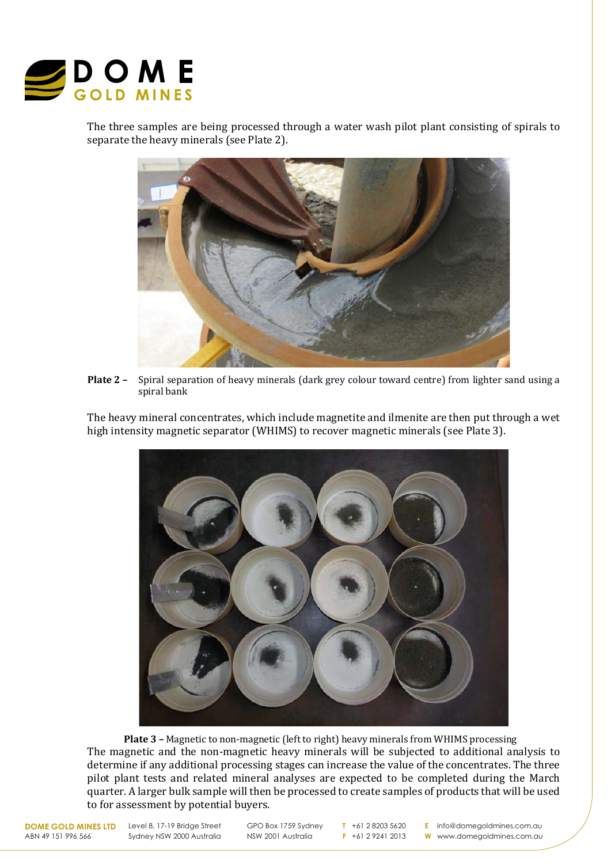

The three samples are being processed through a water wash pilot plant consisting of spirals to separate the heavy minerals (see Plate 2).



**Plate 2** – Spiral separation of heavy minerals (dark grey colour toward centre) from lighter sand using a spiral bank

The heavy mineral concentrates, which include magnetite and ilmenite are then put through a wet high intensity magnetic separator (WHIMS) to recover magnetic minerals (see Plate 3).



**Plate 3** - Magnetic to non-magnetic (left to right) heavy minerals from WHIMS processing The magnetic and the non-magnetic heavy minerals will be subjected to additional analysis to determine if any additional processing stages can increase the value of the concentrates. The three pilot plant tests and related mineral analyses are expected to be completed during the March quarter. A larger bulk sample will then be processed to create samples of products that will be used to for assessment by potential buyers.

**DOME GOLD MINES LTD** ABN 49 151 996 566

Level 8, 17-19 Bridge Street Sydney NSW 2000 Australia

GPO Box 1759 Sydney NSW 2001 Australia

**T** +61 2 8203 5620 **F** +61 2 9241 2013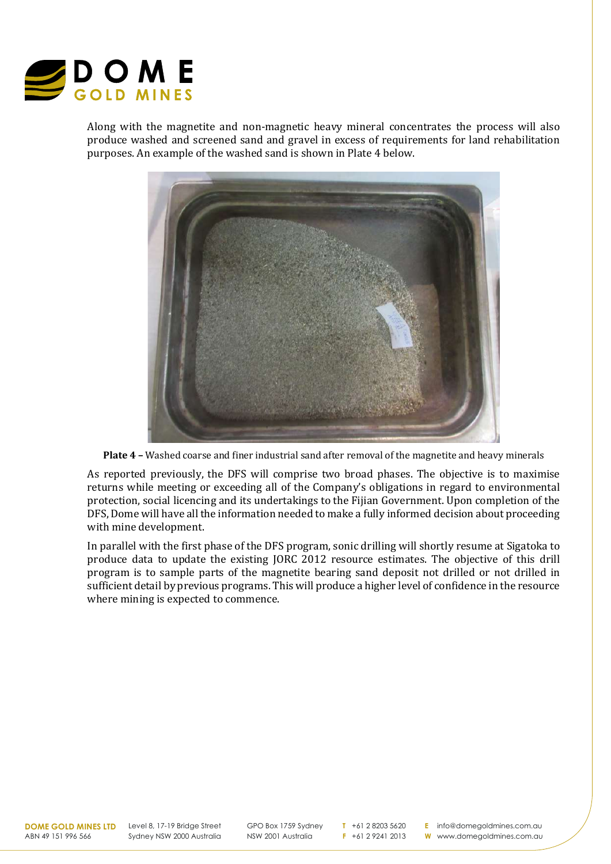

Along with the magnetite and non-magnetic heavy mineral concentrates the process will also produce washed and screened sand and gravel in excess of requirements for land rehabilitation purposes. An example of the washed sand is shown in Plate 4 below.



**Plate 4** – Washed coarse and finer industrial sand after removal of the magnetite and heavy minerals

As reported previously, the DFS will comprise two broad phases. The objective is to maximise returns while meeting or exceeding all of the Company's obligations in regard to environmental protection, social licencing and its undertakings to the Fijian Government. Upon completion of the DFS, Dome will have all the information needed to make a fully informed decision about proceeding with mine development.

In parallel with the first phase of the DFS program, sonic drilling will shortly resume at Sigatoka to produce data to update the existing JORC 2012 resource estimates. The objective of this drill program is to sample parts of the magnetite bearing sand deposit not drilled or not drilled in sufficient detail by previous programs. This will produce a higher level of confidence in the resource where mining is expected to commence.

Level 8, 17-19 Bridge Street Sydney NSW 2000 Australia

GPO Box 1759 Sydney NSW 2001 Australia

**T** +61 2 8203 5620 **F** +61 2 9241 2013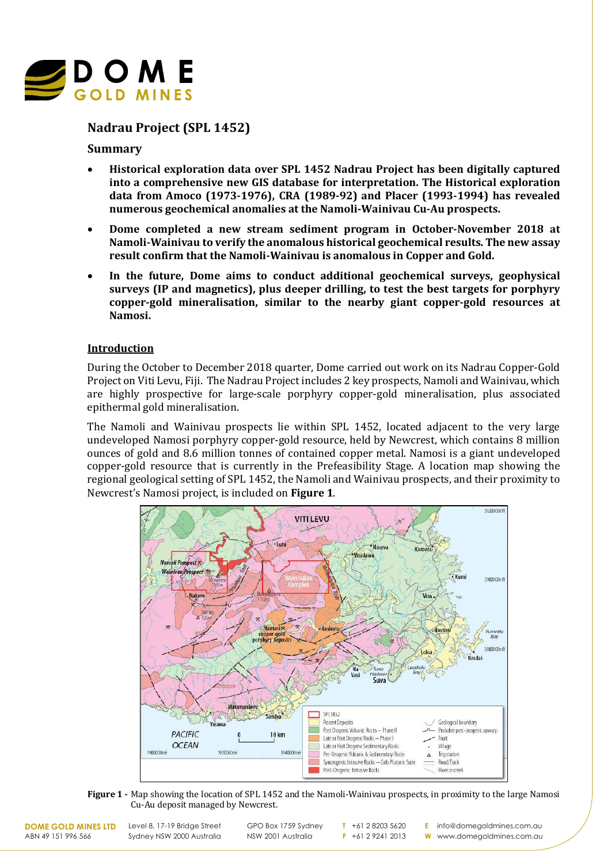

## **Nadrau Project (SPL 1452)**

## **Summary**

- **Historical exploration data over SPL 1452 Nadrau Project has been digitally captured** into a comprehensive new GIS database for interpretation. The Historical exploration data from Amoco (1973-1976), CRA (1989-92) and Placer (1993-1994) has revealed **numerous geochemical anomalies at the Namoli-Wainivau Cu-Au prospects.**
- Dome completed a new stream sediment program in October-November 2018 at Namoli-Wainivau to verify the anomalous historical geochemical results. The new assay result confirm that the Namoli-Wainivau is anomalous in Copper and Gold.
- In the future, Dome aims to conduct additional geochemical surveys, geophysical surveys (IP and magnetics), plus deeper drilling, to test the best targets for porphyry copper-gold mineralisation, similar to the nearby giant copper-gold resources at **Namosi.**

## **Introduction**

During the October to December 2018 quarter, Dome carried out work on its Nadrau Copper-Gold Project on Viti Levu, Fiji. The Nadrau Project includes 2 key prospects, Namoli and Wainivau, which are highly prospective for large-scale porphyry copper-gold mineralisation, plus associated epithermal gold mineralisation.

The Namoli and Wainivau prospects lie within SPL 1452, located adjacent to the very large undeveloped Namosi porphyry copper-gold resource, held by Newcrest, which contains 8 million ounces of gold and 8.6 million tonnes of contained copper metal. Namosi is a giant undeveloped copper-gold resource that is currently in the Prefeasibility Stage. A location map showing the regional geological setting of SPL 1452, the Namoli and Wainivau prospects, and their proximity to Newcrest's Namosi project, is included on Figure 1.



**Figure 1 -** Map showing the location of SPL 1452 and the Namoli-Wainivau prospects, in proximity to the large Namosi Cu-Au deposit managed by Newcrest.

Level 8, 17-19 Bridge Street Sydney NSW 2000 Australia

GPO Box 1759 Sydney NSW 2001 Australia

**T** +61 2 8203 5620 **F** +61 2 9241 2013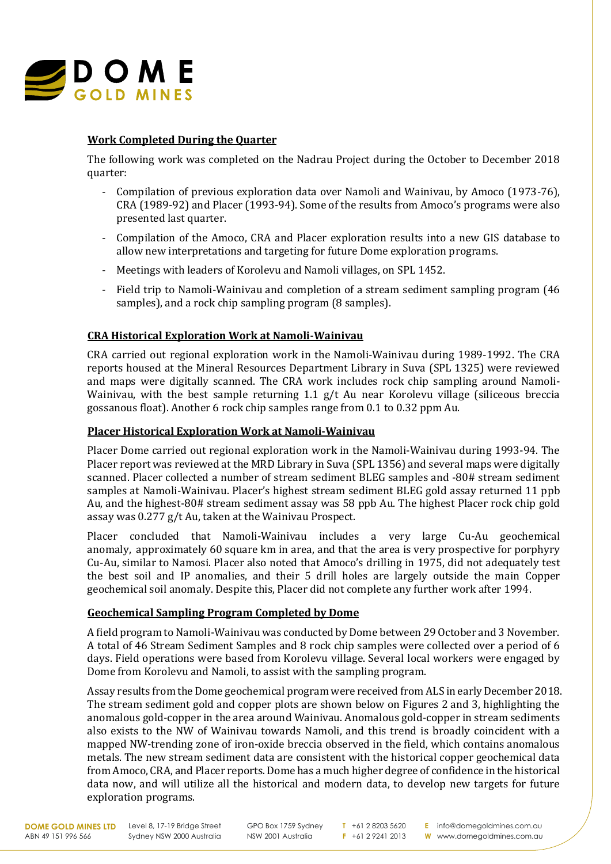

## **Work Completed During the Quarter**

The following work was completed on the Nadrau Project during the October to December 2018 quarter:

- Compilation of previous exploration data over Namoli and Wainivau, by Amoco (1973-76), CRA (1989-92) and Placer (1993-94). Some of the results from Amoco's programs were also presented last quarter.
- Compilation of the Amoco, CRA and Placer exploration results into a new GIS database to allow new interpretations and targeting for future Dome exploration programs.
- Meetings with leaders of Korolevu and Namoli villages, on SPL 1452.
- Field trip to Namoli-Wainivau and completion of a stream sediment sampling program (46) samples), and a rock chip sampling program (8 samples).

## **CRA Historical Exploration Work at Namoli-Wainivau**

CRA carried out regional exploration work in the Namoli-Wainivau during 1989-1992. The CRA reports housed at the Mineral Resources Department Library in Suva (SPL 1325) were reviewed and maps were digitally scanned. The CRA work includes rock chip sampling around Namoli-Wainivau, with the best sample returning 1.1  $g/t$  Au near Korolevu village (siliceous breccia gossanous float). Another 6 rock chip samples range from 0.1 to 0.32 ppm Au.

#### **Placer Historical Exploration Work at Namoli-Wainivau**

Placer Dome carried out regional exploration work in the Namoli-Wainivau during 1993-94. The Placer report was reviewed at the MRD Library in Suva (SPL 1356) and several maps were digitally scanned. Placer collected a number of stream sediment BLEG samples and -80# stream sediment samples at Namoli-Wainivau. Placer's highest stream sediment BLEG gold assay returned 11 ppb Au, and the highest-80# stream sediment assay was 58 ppb Au. The highest Placer rock chip gold assay was  $0.277$  g/t Au, taken at the Wainivau Prospect.

Placer concluded that Namoli-Wainivau includes a very large Cu-Au geochemical anomaly, approximately 60 square km in area, and that the area is very prospective for porphyry Cu-Au, similar to Namosi. Placer also noted that Amoco's drilling in 1975, did not adequately test the best soil and IP anomalies, and their 5 drill holes are largely outside the main Copper geochemical soil anomaly. Despite this, Placer did not complete any further work after 1994.

#### **Geochemical Sampling Program Completed by Dome**

A field program to Namoli-Wainivau was conducted by Dome between 29 October and 3 November. A total of 46 Stream Sediment Samples and 8 rock chip samples were collected over a period of 6 days. Field operations were based from Korolevu village. Several local workers were engaged by Dome from Korolevu and Namoli, to assist with the sampling program.

Assay results from the Dome geochemical program were received from ALS in early December 2018. The stream sediment gold and copper plots are shown below on Figures 2 and 3, highlighting the anomalous gold-copper in the area around Wainivau. Anomalous gold-copper in stream sediments also exists to the NW of Wainivau towards Namoli, and this trend is broadly coincident with a mapped NW-trending zone of iron-oxide breccia observed in the field, which contains anomalous metals. The new stream sediment data are consistent with the historical copper geochemical data from Amoco, CRA, and Placer reports. Dome has a much higher degree of confidence in the historical data now, and will utilize all the historical and modern data, to develop new targets for future exploration programs.

**DOME GOLD MINES LTD** ABN 49 151 996 566

Level 8, 17-19 Bridge Street Sydney NSW 2000 Australia

GPO Box 1759 Sydney NSW 2001 Australia

**T** +61 2 8203 5620 **F** +61 2 9241 2013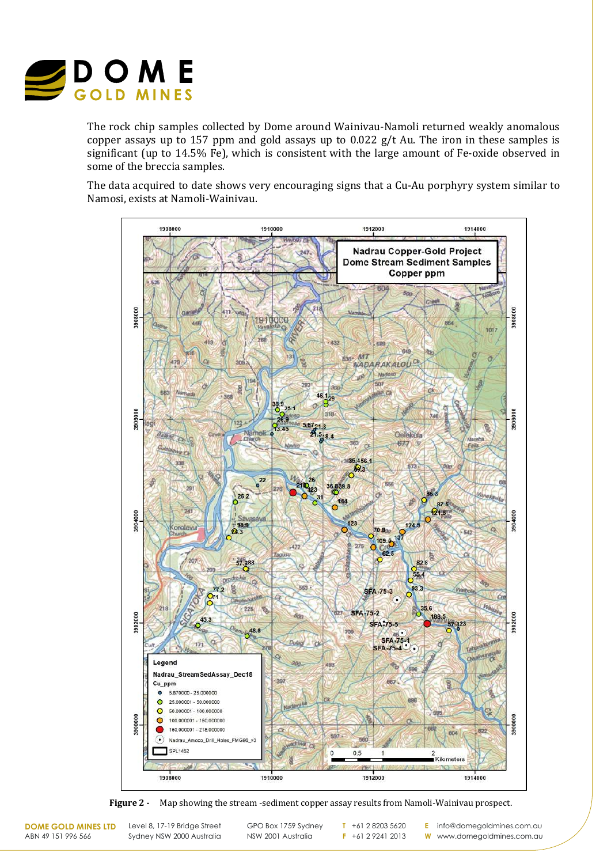

The rock chip samples collected by Dome around Wainivau-Namoli returned weakly anomalous copper assays up to 157 ppm and gold assays up to  $0.022$  g/t Au. The iron in these samples is significant (up to 14.5% Fe), which is consistent with the large amount of Fe-oxide observed in some of the breccia samples.

The data acquired to date shows very encouraging signs that a Cu-Au porphyry system similar to Namosi, exists at Namoli-Wainivau.



**Figure 2 -** Map showing the stream -sediment copper assay results from Namoli-Wainivau prospect.

**DOME GOLD MINES LTD** ABN 49 151 996 566

Level 8, 17-19 Bridge Street Sydney NSW 2000 Australia

GPO Box 1759 Sydney NSW 2001 Australia

**T** +61 2 8203 5620 **F** +61 2 9241 2013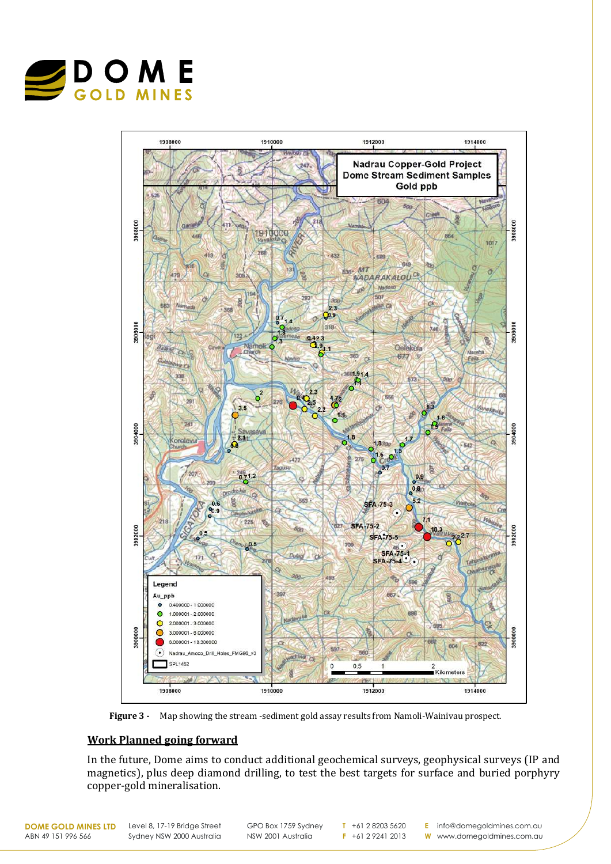



**Figure 3 -** Map showing the stream -sediment gold assay results from Namoli-Wainivau prospect.

## **Work Planned going forward**

In the future, Dome aims to conduct additional geochemical surveys, geophysical surveys (IP and magnetics), plus deep diamond drilling, to test the best targets for surface and buried porphyry copper-gold mineralisation.

**DOME GOLD MINES LTD** ABN 49 151 996 566

Level 8, 17-19 Bridge Street Sydney NSW 2000 Australia GPO Box 1759 Sydney NSW 2001 Australia

**T** +61 2 8203 5620 **F** +61 2 9241 2013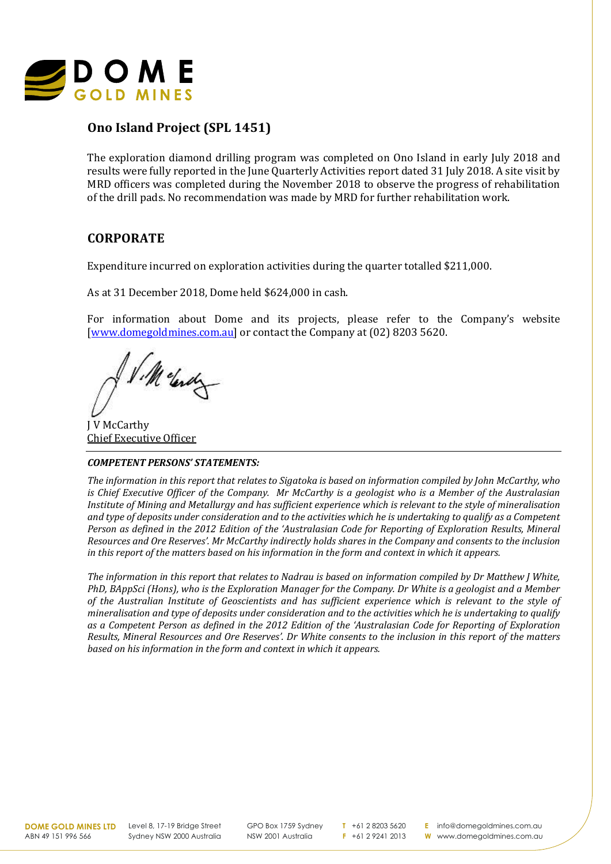

## **Ono Island Project (SPL 1451)**

The exploration diamond drilling program was completed on Ono Island in early July 2018 and results were fully reported in the June Quarterly Activities report dated 31 July 2018. A site visit by MRD officers was completed during the November 2018 to observe the progress of rehabilitation of the drill pads. No recommendation was made by MRD for further rehabilitation work.

## **CORPORATE**

Expenditure incurred on exploration activities during the quarter totalled  $$211,000$ .

As at 31 December 2018, Dome held \$624,000 in cash.

For information about Dome and its projects, please refer to the Company's website [www.domegoldmines.com.au] or contact the Company at (02) 8203 5620.

V.Melender

**J** V McCarthy Chief Executive Officer

#### *COMPETENT PERSONS' STATEMENTS:*

*The* information in this report that relates to Sigatoka is based on information compiled by John McCarthy, who *is* Chief Executive Officer of the Company. Mr McCarthy is a geologist who is a Member of the Australasian *Institute* of Mining and Metallurgy and has sufficient experience which is relevant to the style of mineralisation and type of deposits under consideration and to the activities which he is undertaking to qualify as a Competent *Person as defined in the 2012 Edition of the 'Australasian Code for Reporting of Exploration Results, Mineral Resources and Ore Reserves'. Mr McCarthy indirectly holds shares in the Company and consents to the inclusion in* this report of the matters based on his information in the form and context in which it appears.

*The information in this report that relates to Nadrau is based on information compiled by Dr Matthew J White, PhD, BAppSci (Hons), who is the Exploration Manager for the Company. Dr White is a geologist and a Member of* the Australian Institute of Geoscientists and has sufficient experience which is relevant to the style of *mineralisation and type of deposits under consideration and to the activities which he is undertaking to qualify* as a Competent Person as defined in the 2012 Edition of the 'Australasian Code for Reporting of Exploration *Results, Mineral Resources and Ore Reserves'. Dr White consents to the inclusion in this report of the matters* based on his information in the form and context in which it appears.

ABN 49 151 996 566

**DOME GOLD MINES LTD** Level 8, 17-19 Bridge Street Sydney NSW 2000 Australia

GPO Box 1759 Sydney NSW 2001 Australia

**T** +61 2 8203 5620 **F** +61 2 9241 2013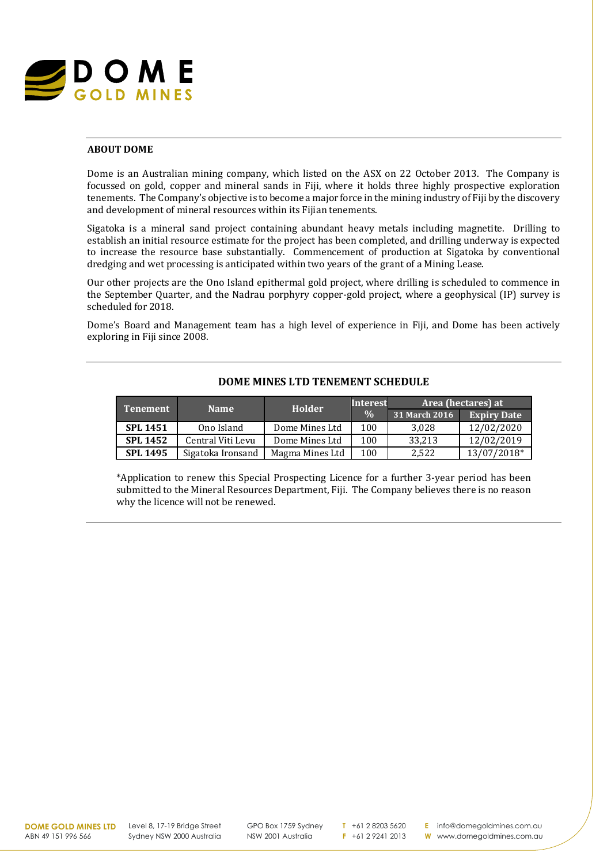

#### **ABOUT DOME**

Dome is an Australian mining company, which listed on the ASX on 22 October 2013. The Company is focussed on gold, copper and mineral sands in Fiji, where it holds three highly prospective exploration tenements. The Company's objective is to become a major force in the mining industry of Fiji by the discovery and development of mineral resources within its Fijian tenements.

Sigatoka is a mineral sand project containing abundant heavy metals including magnetite. Drilling to establish an initial resource estimate for the project has been completed, and drilling underway is expected to increase the resource base substantially. Commencement of production at Sigatoka by conventional dredging and wet processing is anticipated within two years of the grant of a Mining Lease.

Our other projects are the Ono Island epithermal gold project, where drilling is scheduled to commence in the September Quarter, and the Nadrau porphyry copper-gold project, where a geophysical (IP) survey is scheduled for 2018.

Dome's Board and Management team has a high level of experience in Fiji, and Dome has been actively exploring in Fiji since 2008.

| <b>Tenement</b> | <b>Name</b>       | <b>Holder</b>   | <b>Interest</b> | Area (hectares) at |                    |
|-----------------|-------------------|-----------------|-----------------|--------------------|--------------------|
|                 |                   |                 | $\frac{0}{0}$   | 31 March 2016      | <b>Expiry Date</b> |
| <b>SPL 1451</b> | Ono Island        | Dome Mines Ltd  | 100             | 3.028              | 12/02/2020         |
| <b>SPL 1452</b> | Central Viti Levu | Dome Mines Ltd  | 100             | 33.213             | 12/02/2019         |
| <b>SPL 1495</b> | Sigatoka Ironsand | Magma Mines Ltd | 100             | 2.522              | 13/07/2018*        |

## **DOME MINES LTD TENEMENT SCHEDULE**

\*Application to renew this Special Prospecting Licence for a further 3-year period has been submitted to the Mineral Resources Department, Fiji. The Company believes there is no reason why the licence will not be renewed.

Level 8, 17-19 Bridge Street Sydney NSW 2000 Australia

GPO Box 1759 Sydney NSW 2001 Australia

**T** +61 2 8203 5620 **F** +61 2 9241 2013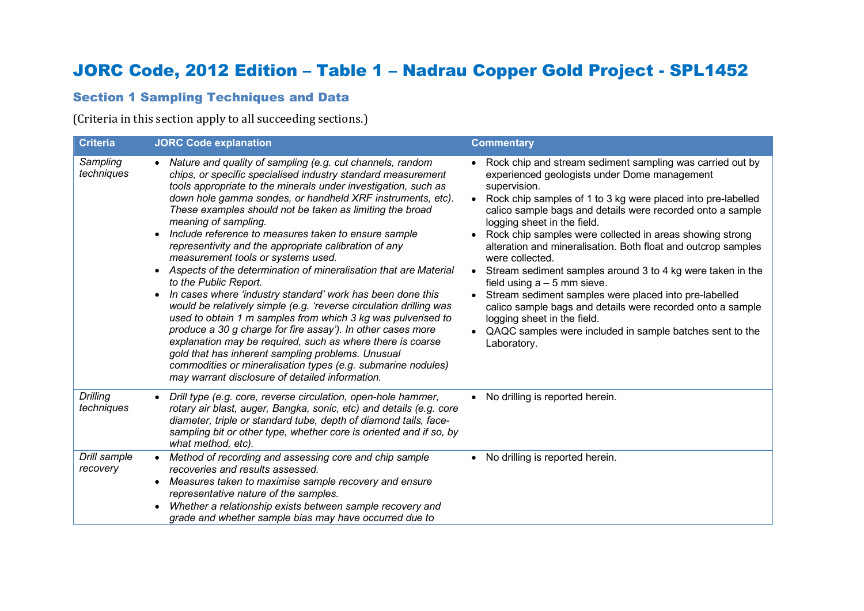# JORC Code, 2012 Edition – Table 1 – Nadrau Copper Gold Project - SPL1452

## Section 1 Sampling Techniques and Data

(Criteria in this section apply to all succeeding sections.)

| <b>Criteria</b>               | <b>JORC Code explanation</b>                                                                                                                                                                                                                                                                                                                                                                                                                                                                                                                                                                                                                                                                                                                                                                                                                                                                                                                                                                                                                                                                                 | <b>Commentary</b>                                                                                                                                                                                                                                                                                                                                                                                                                                                                                                                                                                                                                                                                                                                                                      |
|-------------------------------|--------------------------------------------------------------------------------------------------------------------------------------------------------------------------------------------------------------------------------------------------------------------------------------------------------------------------------------------------------------------------------------------------------------------------------------------------------------------------------------------------------------------------------------------------------------------------------------------------------------------------------------------------------------------------------------------------------------------------------------------------------------------------------------------------------------------------------------------------------------------------------------------------------------------------------------------------------------------------------------------------------------------------------------------------------------------------------------------------------------|------------------------------------------------------------------------------------------------------------------------------------------------------------------------------------------------------------------------------------------------------------------------------------------------------------------------------------------------------------------------------------------------------------------------------------------------------------------------------------------------------------------------------------------------------------------------------------------------------------------------------------------------------------------------------------------------------------------------------------------------------------------------|
| Sampling<br>techniques        | • Nature and quality of sampling (e.g. cut channels, random<br>chips, or specific specialised industry standard measurement<br>tools appropriate to the minerals under investigation, such as<br>down hole gamma sondes, or handheld XRF instruments, etc).<br>These examples should not be taken as limiting the broad<br>meaning of sampling.<br>Include reference to measures taken to ensure sample<br>representivity and the appropriate calibration of any<br>measurement tools or systems used.<br>Aspects of the determination of mineralisation that are Material<br>to the Public Report.<br>In cases where 'industry standard' work has been done this<br>would be relatively simple (e.g. 'reverse circulation drilling was<br>used to obtain 1 m samples from which 3 kg was pulverised to<br>produce a 30 g charge for fire assay'). In other cases more<br>explanation may be required, such as where there is coarse<br>gold that has inherent sampling problems. Unusual<br>commodities or mineralisation types (e.g. submarine nodules)<br>may warrant disclosure of detailed information. | Rock chip and stream sediment sampling was carried out by<br>experienced geologists under Dome management<br>supervision.<br>Rock chip samples of 1 to 3 kg were placed into pre-labelled<br>calico sample bags and details were recorded onto a sample<br>logging sheet in the field.<br>Rock chip samples were collected in areas showing strong<br>alteration and mineralisation. Both float and outcrop samples<br>were collected.<br>Stream sediment samples around 3 to 4 kg were taken in the<br>field using $a - 5$ mm sieve.<br>Stream sediment samples were placed into pre-labelled<br>calico sample bags and details were recorded onto a sample<br>logging sheet in the field.<br>QAQC samples were included in sample batches sent to the<br>Laboratory. |
| <b>Drilling</b><br>techniques | Drill type (e.g. core, reverse circulation, open-hole hammer,<br>rotary air blast, auger, Bangka, sonic, etc) and details (e.g. core<br>diameter, triple or standard tube, depth of diamond tails, face-<br>sampling bit or other type, whether core is oriented and if so, by<br>what method, etc).                                                                                                                                                                                                                                                                                                                                                                                                                                                                                                                                                                                                                                                                                                                                                                                                         | • No drilling is reported herein.                                                                                                                                                                                                                                                                                                                                                                                                                                                                                                                                                                                                                                                                                                                                      |
| Drill sample<br>recovery      | • Method of recording and assessing core and chip sample<br>recoveries and results assessed.<br>Measures taken to maximise sample recovery and ensure<br>representative nature of the samples.<br>Whether a relationship exists between sample recovery and<br>grade and whether sample bias may have occurred due to                                                                                                                                                                                                                                                                                                                                                                                                                                                                                                                                                                                                                                                                                                                                                                                        | No drilling is reported herein.                                                                                                                                                                                                                                                                                                                                                                                                                                                                                                                                                                                                                                                                                                                                        |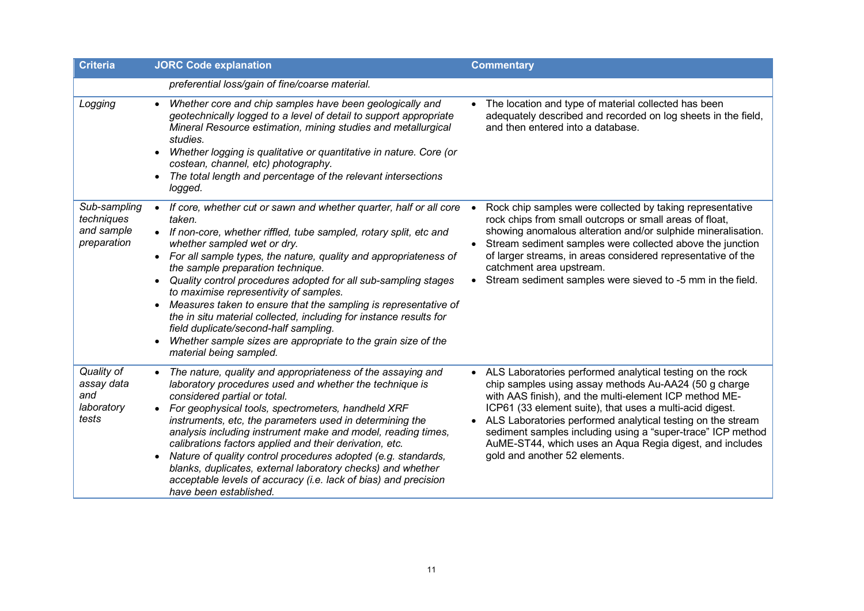| <b>Criteria</b>                                         | <b>JORC Code explanation</b>                                                                                                                                                                                                                                                                                                                                                                                                                                                                                                                                                                                                                                                                                                   | <b>Commentary</b>                                                                                                                                                                                                                                                                                                                                                                                                                                                                |
|---------------------------------------------------------|--------------------------------------------------------------------------------------------------------------------------------------------------------------------------------------------------------------------------------------------------------------------------------------------------------------------------------------------------------------------------------------------------------------------------------------------------------------------------------------------------------------------------------------------------------------------------------------------------------------------------------------------------------------------------------------------------------------------------------|----------------------------------------------------------------------------------------------------------------------------------------------------------------------------------------------------------------------------------------------------------------------------------------------------------------------------------------------------------------------------------------------------------------------------------------------------------------------------------|
|                                                         | preferential loss/gain of fine/coarse material.                                                                                                                                                                                                                                                                                                                                                                                                                                                                                                                                                                                                                                                                                |                                                                                                                                                                                                                                                                                                                                                                                                                                                                                  |
| Logging                                                 | Whether core and chip samples have been geologically and<br>$\bullet$<br>geotechnically logged to a level of detail to support appropriate<br>Mineral Resource estimation, mining studies and metallurgical<br>studies.<br>Whether logging is qualitative or quantitative in nature. Core (or<br>$\bullet$<br>costean, channel, etc) photography.<br>The total length and percentage of the relevant intersections<br>logged.                                                                                                                                                                                                                                                                                                  | The location and type of material collected has been<br>adequately described and recorded on log sheets in the field,<br>and then entered into a database.                                                                                                                                                                                                                                                                                                                       |
| Sub-sampling<br>techniques<br>and sample<br>preparation | If core, whether cut or sawn and whether quarter, half or all core<br>$\bullet$<br>taken.<br>• If non-core, whether riffled, tube sampled, rotary split, etc and<br>whether sampled wet or dry.<br>• For all sample types, the nature, quality and appropriateness of<br>the sample preparation technique.<br>Quality control procedures adopted for all sub-sampling stages<br>$\bullet$<br>to maximise representivity of samples.<br>Measures taken to ensure that the sampling is representative of<br>$\bullet$<br>the in situ material collected, including for instance results for<br>field duplicate/second-half sampling.<br>Whether sample sizes are appropriate to the grain size of the<br>material being sampled. | Rock chip samples were collected by taking representative<br>rock chips from small outcrops or small areas of float,<br>showing anomalous alteration and/or sulphide mineralisation.<br>Stream sediment samples were collected above the junction<br>of larger streams, in areas considered representative of the<br>catchment area upstream.<br>Stream sediment samples were sieved to -5 mm in the field.                                                                      |
| Quality of<br>assay data<br>and<br>laboratory<br>tests  | The nature, quality and appropriateness of the assaying and<br>$\bullet$<br>laboratory procedures used and whether the technique is<br>considered partial or total.<br>• For geophysical tools, spectrometers, handheld XRF<br>instruments, etc, the parameters used in determining the<br>analysis including instrument make and model, reading times,<br>calibrations factors applied and their derivation, etc.<br>Nature of quality control procedures adopted (e.g. standards,<br>$\bullet$<br>blanks, duplicates, external laboratory checks) and whether<br>acceptable levels of accuracy (i.e. lack of bias) and precision<br>have been established.                                                                   | ALS Laboratories performed analytical testing on the rock<br>$\bullet$<br>chip samples using assay methods Au-AA24 (50 g charge<br>with AAS finish), and the multi-element ICP method ME-<br>ICP61 (33 element suite), that uses a multi-acid digest.<br>ALS Laboratories performed analytical testing on the stream<br>sediment samples including using a "super-trace" ICP method<br>AuME-ST44, which uses an Aqua Regia digest, and includes<br>gold and another 52 elements. |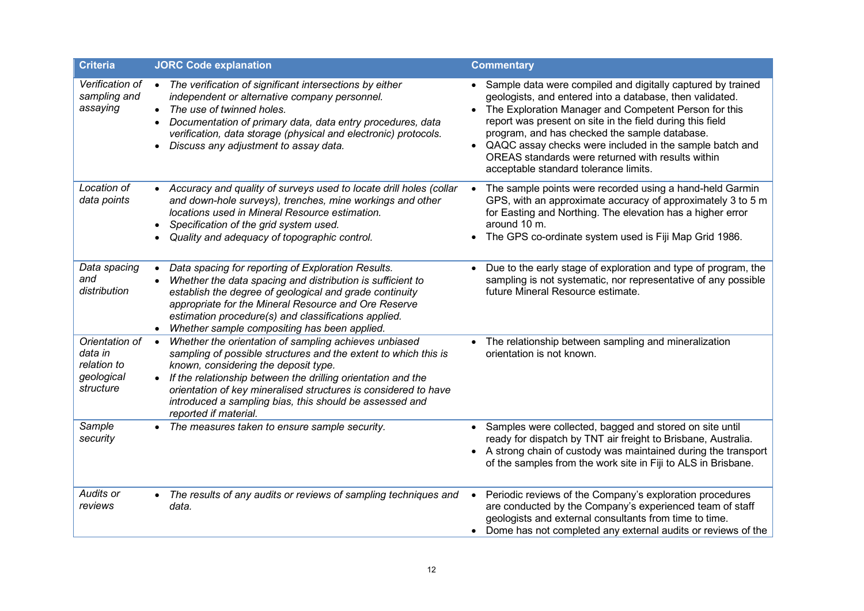| Criteria                                                            | <b>JORC Code explanation</b>                                                                                                                                                                                                                                                                                                                                                                           | <b>Commentary</b>                                                                                                                                                                                                                                                                                                                                                                                                                                       |
|---------------------------------------------------------------------|--------------------------------------------------------------------------------------------------------------------------------------------------------------------------------------------------------------------------------------------------------------------------------------------------------------------------------------------------------------------------------------------------------|---------------------------------------------------------------------------------------------------------------------------------------------------------------------------------------------------------------------------------------------------------------------------------------------------------------------------------------------------------------------------------------------------------------------------------------------------------|
| Verification of<br>sampling and<br>assaying                         | The verification of significant intersections by either<br>$\bullet$<br>independent or alternative company personnel.<br>The use of twinned holes.<br>$\bullet$<br>Documentation of primary data, data entry procedures, data<br>verification, data storage (physical and electronic) protocols.<br>Discuss any adjustment to assay data.<br>$\bullet$                                                 | Sample data were compiled and digitally captured by trained<br>geologists, and entered into a database, then validated.<br>The Exploration Manager and Competent Person for this<br>report was present on site in the field during this field<br>program, and has checked the sample database.<br>QAQC assay checks were included in the sample batch and<br>OREAS standards were returned with results within<br>acceptable standard tolerance limits. |
| Location of<br>data points                                          | • Accuracy and quality of surveys used to locate drill holes (collar<br>and down-hole surveys), trenches, mine workings and other<br>locations used in Mineral Resource estimation.<br>Specification of the grid system used.<br>$\bullet$<br>Quality and adequacy of topographic control.                                                                                                             | The sample points were recorded using a hand-held Garmin<br>GPS, with an approximate accuracy of approximately 3 to 5 m<br>for Easting and Northing. The elevation has a higher error<br>around 10 m.<br>The GPS co-ordinate system used is Fiji Map Grid 1986.                                                                                                                                                                                         |
| Data spacing<br>and<br>distribution                                 | Data spacing for reporting of Exploration Results.<br>$\bullet$<br>Whether the data spacing and distribution is sufficient to<br>$\bullet$<br>establish the degree of geological and grade continuity<br>appropriate for the Mineral Resource and Ore Reserve<br>estimation procedure(s) and classifications applied.<br>Whether sample compositing has been applied.                                  | Due to the early stage of exploration and type of program, the<br>sampling is not systematic, nor representative of any possible<br>future Mineral Resource estimate.                                                                                                                                                                                                                                                                                   |
| Orientation of<br>data in<br>relation to<br>geological<br>structure | Whether the orientation of sampling achieves unbiased<br>$\bullet$<br>sampling of possible structures and the extent to which this is<br>known, considering the deposit type.<br>• If the relationship between the drilling orientation and the<br>orientation of key mineralised structures is considered to have<br>introduced a sampling bias, this should be assessed and<br>reported if material. | The relationship between sampling and mineralization<br>orientation is not known.                                                                                                                                                                                                                                                                                                                                                                       |
| Sample<br>security                                                  | • The measures taken to ensure sample security.                                                                                                                                                                                                                                                                                                                                                        | • Samples were collected, bagged and stored on site until<br>ready for dispatch by TNT air freight to Brisbane, Australia.<br>A strong chain of custody was maintained during the transport<br>of the samples from the work site in Fiji to ALS in Brisbane.                                                                                                                                                                                            |
| Audits or<br>reviews                                                | • The results of any audits or reviews of sampling techniques and<br>data.                                                                                                                                                                                                                                                                                                                             | Periodic reviews of the Company's exploration procedures<br>are conducted by the Company's experienced team of staff<br>geologists and external consultants from time to time.<br>• Dome has not completed any external audits or reviews of the                                                                                                                                                                                                        |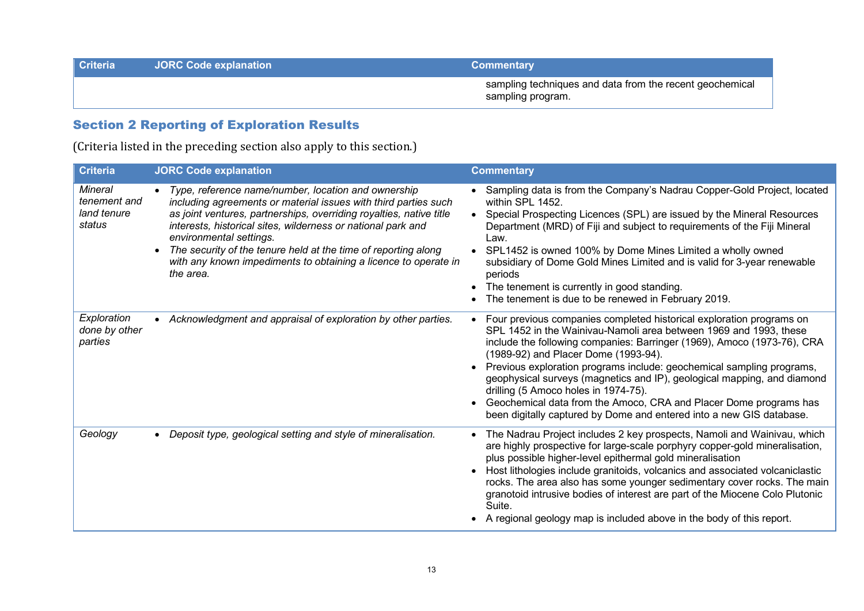**Criteria JORC Code explanation Commentary Commentary** 

sampling techniques and data from the recent geochemical sampling program.

## Section 2 Reporting of Exploration Results

(Criteria listed in the preceding section also apply to this section.)

| <b>Criteria</b>                                         | <b>JORC Code explanation</b>                                                                                                                                                                                                                                                                                                                                                                                                                                         | <b>Commentary</b>                                                                                                                                                                                                                                                                                                                                                                                                                                                                                                                                                                                     |
|---------------------------------------------------------|----------------------------------------------------------------------------------------------------------------------------------------------------------------------------------------------------------------------------------------------------------------------------------------------------------------------------------------------------------------------------------------------------------------------------------------------------------------------|-------------------------------------------------------------------------------------------------------------------------------------------------------------------------------------------------------------------------------------------------------------------------------------------------------------------------------------------------------------------------------------------------------------------------------------------------------------------------------------------------------------------------------------------------------------------------------------------------------|
| <b>Mineral</b><br>tenement and<br>land tenure<br>status | Type, reference name/number, location and ownership<br>$\bullet$<br>including agreements or material issues with third parties such<br>as joint ventures, partnerships, overriding royalties, native title<br>interests, historical sites, wilderness or national park and<br>environmental settings.<br>The security of the tenure held at the time of reporting along<br>$\bullet$<br>with any known impediments to obtaining a licence to operate in<br>the area. | Sampling data is from the Company's Nadrau Copper-Gold Project, located<br>within SPL 1452.<br>Special Prospecting Licences (SPL) are issued by the Mineral Resources<br>$\bullet$<br>Department (MRD) of Fiji and subject to requirements of the Fiji Mineral<br>Law.<br>• SPL1452 is owned 100% by Dome Mines Limited a wholly owned<br>subsidiary of Dome Gold Mines Limited and is valid for 3-year renewable<br>periods<br>The tenement is currently in good standing.<br>The tenement is due to be renewed in February 2019.                                                                    |
| Exploration<br>done by other<br>parties                 | Acknowledgment and appraisal of exploration by other parties.                                                                                                                                                                                                                                                                                                                                                                                                        | Four previous companies completed historical exploration programs on<br>SPL 1452 in the Wainivau-Namoli area between 1969 and 1993, these<br>include the following companies: Barringer (1969), Amoco (1973-76), CRA<br>(1989-92) and Placer Dome (1993-94).<br>Previous exploration programs include: geochemical sampling programs,<br>geophysical surveys (magnetics and IP), geological mapping, and diamond<br>drilling (5 Amoco holes in 1974-75).<br>Geochemical data from the Amoco, CRA and Placer Dome programs has<br>been digitally captured by Dome and entered into a new GIS database. |
| Geology                                                 | Deposit type, geological setting and style of mineralisation.                                                                                                                                                                                                                                                                                                                                                                                                        | The Nadrau Project includes 2 key prospects, Namoli and Wainivau, which<br>are highly prospective for large-scale porphyry copper-gold mineralisation,<br>plus possible higher-level epithermal gold mineralisation<br>Host lithologies include granitoids, volcanics and associated volcaniclastic<br>rocks. The area also has some younger sedimentary cover rocks. The main<br>granotoid intrusive bodies of interest are part of the Miocene Colo Plutonic<br>Suite.<br>A regional geology map is included above in the body of this report.                                                      |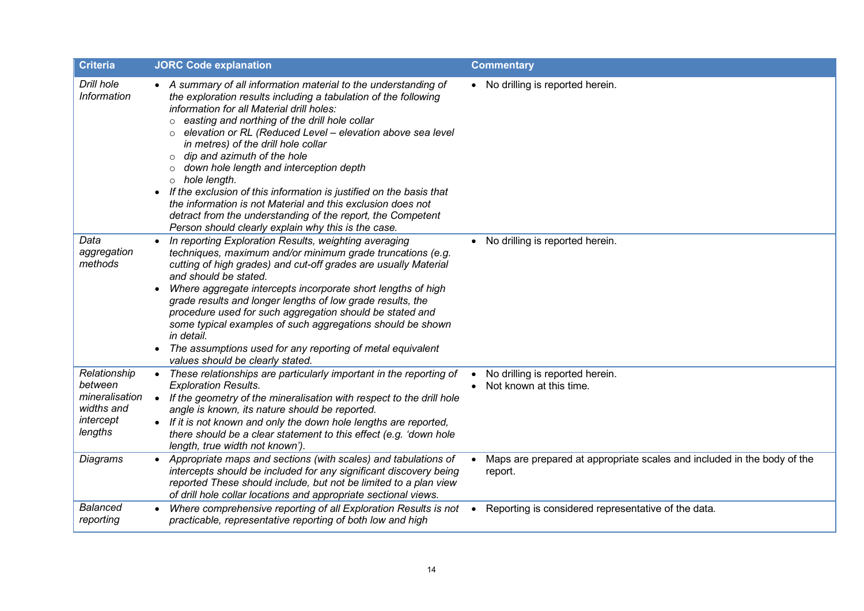| <b>Criteria</b>                                                                 | <b>JORC Code explanation</b>                                                                                                                                                                                                                                                                                                                                                                                                                                                                                                                                                                                                                                                                                                             | <b>Commentary</b>                                                                    |
|---------------------------------------------------------------------------------|------------------------------------------------------------------------------------------------------------------------------------------------------------------------------------------------------------------------------------------------------------------------------------------------------------------------------------------------------------------------------------------------------------------------------------------------------------------------------------------------------------------------------------------------------------------------------------------------------------------------------------------------------------------------------------------------------------------------------------------|--------------------------------------------------------------------------------------|
| Drill hole<br>Information                                                       | • A summary of all information material to the understanding of<br>the exploration results including a tabulation of the following<br>information for all Material drill holes:<br>o easting and northing of the drill hole collar<br>elevation or RL (Reduced Level - elevation above sea level<br>in metres) of the drill hole collar<br>dip and azimuth of the hole<br>$\circ$<br>down hole length and interception depth<br>$\circ$<br>$\circ$ hole length.<br>If the exclusion of this information is justified on the basis that<br>$\bullet$<br>the information is not Material and this exclusion does not<br>detract from the understanding of the report, the Competent<br>Person should clearly explain why this is the case. | • No drilling is reported herein.                                                    |
| Data<br>aggregation<br>methods                                                  | • In reporting Exploration Results, weighting averaging<br>techniques, maximum and/or minimum grade truncations (e.g.<br>cutting of high grades) and cut-off grades are usually Material<br>and should be stated.<br>Where aggregate intercepts incorporate short lengths of high<br>grade results and longer lengths of low grade results, the<br>procedure used for such aggregation should be stated and<br>some typical examples of such aggregations should be shown<br>in detail.<br>The assumptions used for any reporting of metal equivalent<br>values should be clearly stated.                                                                                                                                                | • No drilling is reported herein.                                                    |
| Relationship<br>between<br>mineralisation<br>widths and<br>intercept<br>lengths | • These relationships are particularly important in the reporting of<br><b>Exploration Results.</b><br>• If the geometry of the mineralisation with respect to the drill hole<br>angle is known, its nature should be reported.<br>• If it is not known and only the down hole lengths are reported,<br>there should be a clear statement to this effect (e.g. 'down hole<br>length, true width not known').                                                                                                                                                                                                                                                                                                                             | No drilling is reported herein.<br>$\bullet$<br>Not known at this time.<br>$\bullet$ |
| Diagrams                                                                        | • Appropriate maps and sections (with scales) and tabulations of<br>intercepts should be included for any significant discovery being<br>reported These should include, but not be limited to a plan view<br>of drill hole collar locations and appropriate sectional views.                                                                                                                                                                                                                                                                                                                                                                                                                                                             | Maps are prepared at appropriate scales and included in the body of the<br>report.   |
| <b>Balanced</b><br>reporting                                                    | Where comprehensive reporting of all Exploration Results is not<br>practicable, representative reporting of both low and high                                                                                                                                                                                                                                                                                                                                                                                                                                                                                                                                                                                                            | Reporting is considered representative of the data.<br>$\bullet$                     |